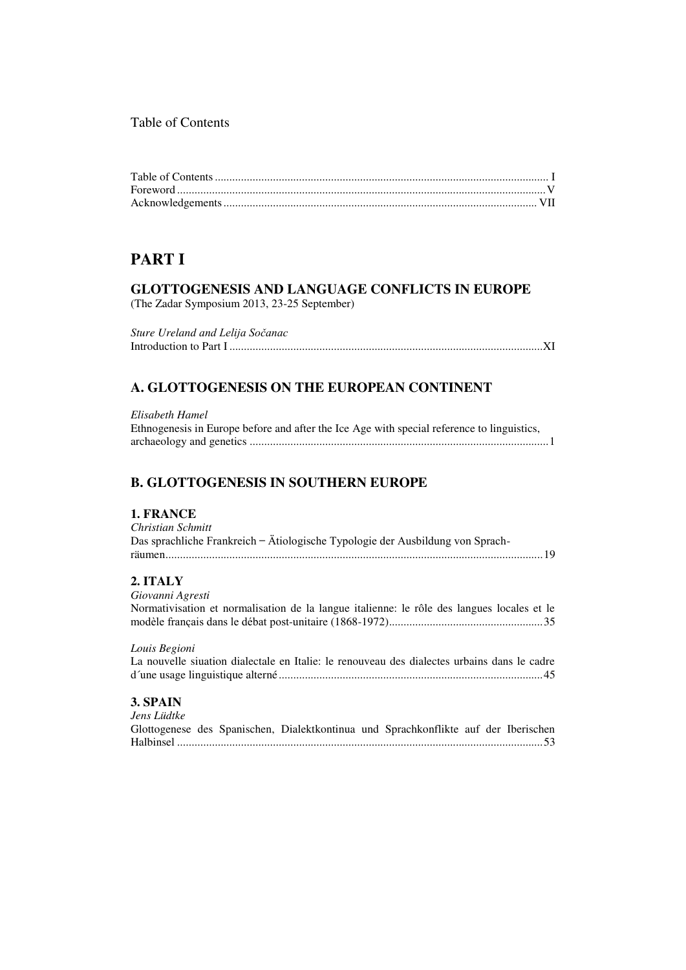### Table of Contents

# **PARTI**

# **GLOTTOGENESIS AND LANGUAGE CONFLICTS IN EUROPE**

(The Zadar Symposium 2013, 23-25 September)

Sture Ureland and Lelija Sočanac 

## A. GLOTTOGENESIS ON THE EUROPEAN CONTINENT

| Elisabeth Hamel                                                                            |
|--------------------------------------------------------------------------------------------|
| Ethnogenesis in Europe before and after the Ice Age with special reference to linguistics, |
|                                                                                            |

### **B. GLOTTOGENESIS IN SOUTHERN EUROPE**

#### 1. FRANCE

| Christian Schmitt                                                              |  |
|--------------------------------------------------------------------------------|--|
| Das sprachliche Frankreich – Ätiologische Typologie der Ausbildung von Sprach- |  |
|                                                                                |  |
| 2. ITALY                                                                       |  |
|                                                                                |  |

Giovanni Agresti Normativisation et normalisation de la langue italienne: le rôle des langues locales et le 

Louis Begioni

| La nouvelle siuation dialectale en Italie: le renouveau des dialectes urbains dans le cadre |  |  |  |
|---------------------------------------------------------------------------------------------|--|--|--|
|                                                                                             |  |  |  |

### 3. SPAIN

Jens Lüdtke Glottogenese des Spanischen, Dialektkontinua und Sprachkonflikte auf der Iberischen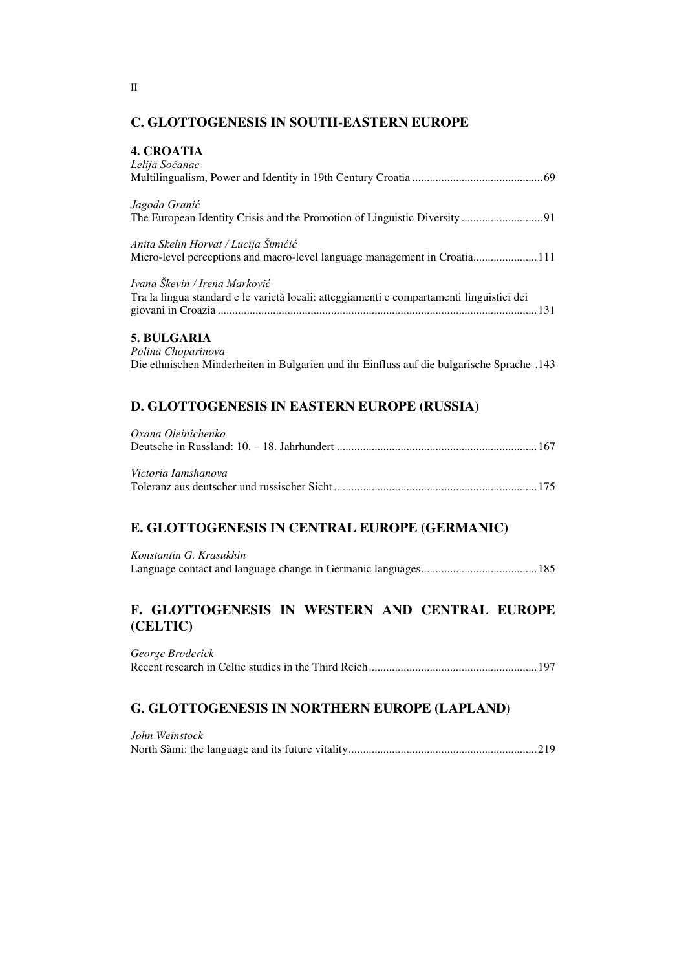### **C. GLOTTOGENESIS IN SOUTH-EASTERN EUROPE**

#### **4. CROATIA**

| Lelua Socanac                                                                             |
|-------------------------------------------------------------------------------------------|
|                                                                                           |
| Jagoda Granić                                                                             |
|                                                                                           |
| Anita Skelin Horvat / Lucija Šimićić                                                      |
|                                                                                           |
| Ivana Škevin / Irena Marković                                                             |
| Tra la lingua standard e le varietà locali: atteggiamenti e compartamenti linguistici dei |
|                                                                                           |
| $\blacksquare$                                                                            |

#### 5. BULGARIA

Polina Choparinova 143. Die ethnischen Minderheiten in Bulgarien und ihr Einfluss auf die bulgarische Sprache

# D. GLOTTOGENESIS IN EASTERN EUROPE (RUSSIA)

| Oxana Oleinichenko  |  |
|---------------------|--|
|                     |  |
|                     |  |
| Victoria Iamshanova |  |
|                     |  |

### E. GLOTTOGENESIS IN CENTRAL EUROPE (GERMANIC)

| Konstantin G. Krasukhin |  |
|-------------------------|--|
|                         |  |

### F. GLOTTOGENESIS IN WESTERN AND CENTRAL EUROPE (CELTIC)

George Broderick 

### G. GLOTTOGENESIS IN NORTHERN EUROPE (LAPLAND)

| John Weinstock |  |
|----------------|--|
|                |  |

 $\mathbf{I}$